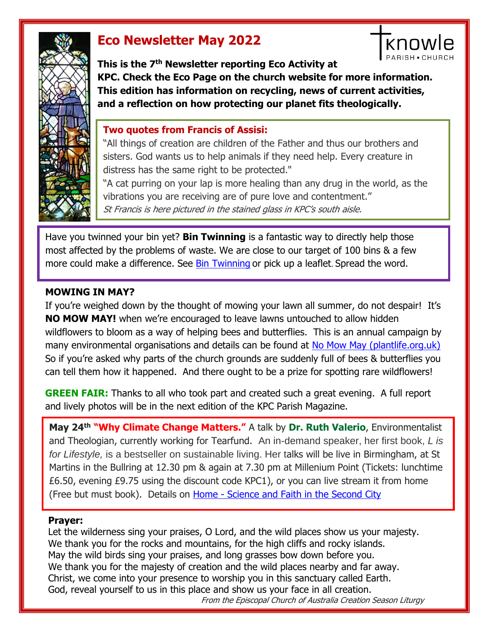

# **Eco Newsletter May 2022**

**This is the 7th Newsletter reporting Eco Activity at KPC. Check the Eco Page on the church website for more information. This edition has information on recycling, news of current activities, and a reflection on how protecting our planet fits theologically.**

know

## **Two quotes from Francis of Assisi:**

"All things of creation are children of the Father and thus our brothers and sisters. God wants us to help animals if they need help. Every creature in distress has the same right to be protected."

"A cat purring on your lap is more healing than any drug in the world, as the vibrations you are receiving are of pure love and contentment." St Francis is here pictured in the stained glass in KPC's south aisle.

Have you twinned your bin yet? **Bin Twinning** is a fantastic way to directly help those most affected by the problems of waste. We are close to our target of 100 bins & a few more could make a difference. See [Bin Twinning](https://www.bintwinning.org/) or pick up a leaflet. Spread the word.

### **MOWING IN MAY?**

If you're weighed down by the thought of mowing your lawn all summer, do not despair! It's **NO MOW MAY!** when we're encouraged to leave lawns untouched to allow hidden wildflowers to bloom as a way of helping bees and butterflies. This is an annual campaign by many environmental organisations and details can be found at [No Mow May \(plantlife.org.uk\)](https://www.plantlife.org.uk/uk/discover-wild-plants-nature/no-mow-may) So if you're asked why parts of the church grounds are suddenly full of bees & butterflies you can tell them how it happened. And there ought to be a prize for spotting rare wildflowers!

**GREEN FAIR:** Thanks to all who took part and created such a great evening. A full report and lively photos will be in the next edition of the KPC Parish Magazine.

**May 24th "Why Climate Change Matters."** A talk by **Dr. Ruth Valerio**, Environmentalist and Theologian, currently working for Tearfund. An in-demand speaker, her first book, *L is for Lifestyle,* is a bestseller on sustainable living. Her talks will be live in Birmingham, at St Martins in the Bullring at 12.30 pm & again at 7.30 pm at Millenium Point (Tickets: lunchtime £6.50, evening £9.75 using the discount code KPC1), or you can live stream it from home (Free but must book). Details on Home - [Science and Faith in the Second City](https://scienceandfaith.co.uk/)

#### **Prayer:**

Let the wilderness sing your praises, O Lord, and the wild places show us your majesty. We thank you for the rocks and mountains, for the high cliffs and rocky islands. May the wild birds sing your praises, and long grasses bow down before you. We thank you for the majesty of creation and the wild places nearby and far away. Christ, we come into your presence to worship you in this sanctuary called Earth. God, reveal yourself to us in this place and show us your face in all creation.

From the Episcopal Church of Australia Creation Season Liturgy